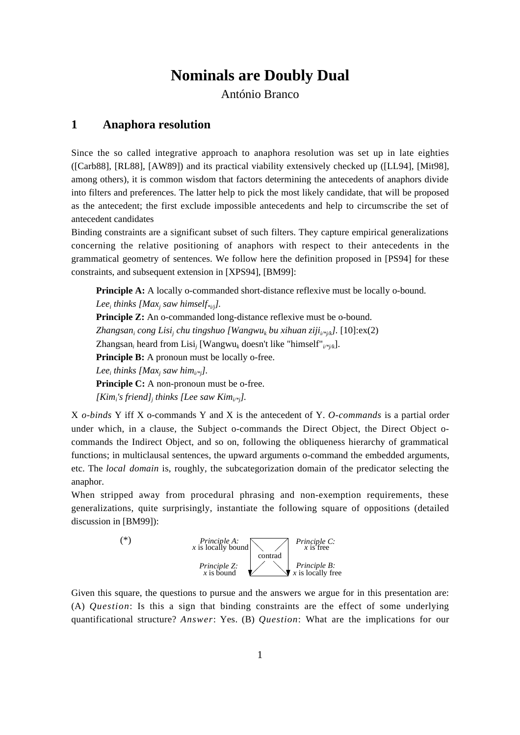# **Nominals are Doubly Dual**

António Branco

## **1 Anaphora resolution**

Since the so called integrative approach to anaphora resolution was set up in late eighties ([Carb88], [RL88], [AW89]) and its practical viability extensively checked up ([LL94], [Mit98], among others), it is common wisdom that factors determining the antecedents of anaphors divide into filters and preferences. The latter help to pick the most likely candidate, that will be proposed as the antecedent; the first exclude impossible antecedents and help to circumscribe the set of antecedent candidates

Binding constraints are a significant subset of such filters. They capture empirical generalizations concerning the relative positioning of anaphors with respect to their antecedents in the grammatical geometry of sentences. We follow here the definition proposed in [PS94] for these constraints, and subsequent extension in [XPS94], [BM99]:

**Principle A:** A locally o-commanded short-distance reflexive must be locally o-bound. Lee<sub>i</sub> thinks [Max<sub>j</sub> saw himself<sub>\*i/j</sub>]. **Principle Z:** An o-commanded long-distance reflexive must be o-bound.  $Zhangsan_i cong Lisi_i chu tingshuo [Wangwu_k bu xihuan ziji_{i*ijk}].$  [10]: $ex(2)$ Zhangsan*i* heard from Lisi*<sup>j</sup>* [Wangwu*k* doesn't like "himself"*i/\*j/k*]. **Principle B:** A pronoun must be locally o-free. *Leei thinks [Maxj saw himi/\*j].* **Principle C:** A non-pronoun must be o-free. *[Kimi 's friend]j thinks [Lee saw Kimi/\*j].*

X *o-binds* Y iff X o-commands Y and X is the antecedent of Y. *O-commands* is a partial order under which, in a clause, the Subject o-commands the Direct Object, the Direct Object ocommands the Indirect Object, and so on, following the obliqueness hierarchy of grammatical functions; in multiclausal sentences, the upward arguments o-command the embedded arguments, etc. The *local domain* is, roughly, the subcategorization domain of the predicator selecting the anaphor.

When stripped away from procedural phrasing and non-exemption requirements, these generalizations, quite surprisingly, instantiate the following square of oppositions (detailed discussion in [BM99]):



Given this square, the questions to pursue and the answers we argue for in this presentation are: (A) *Question*: Is this a sign that binding constraints are the effect of some underlying quantificational structure? *Answer*: Yes. (B) *Question*: What are the implications for our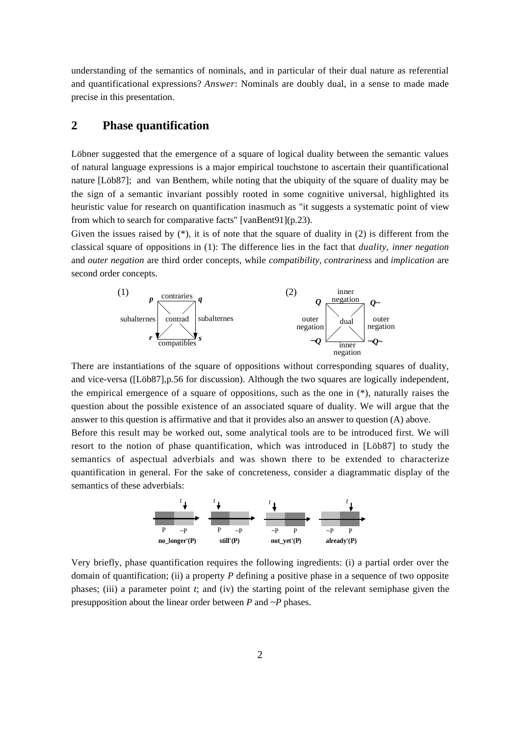understanding of the semantics of nominals, and in particular of their dual nature as referential and quantificational expressions? *Answer*: Nominals are doubly dual, in a sense to made made precise in this presentation.

## **2 Phase quantification**

Löbner suggested that the emergence of a square of logical duality between the semantic values of natural language expressions is a major empirical touchstone to ascertain their quantificational nature [Löb87]; and van Benthem, while noting that the ubiquity of the square of duality may be the sign of a semantic invariant possibly rooted in some cognitive universal, highlighted its heuristic value for research on quantification inasmuch as "it suggests a systematic point of view from which to search for comparative facts" [vanBent91](p.23).

Given the issues raised by  $(*)$ , it is of note that the square of duality in  $(2)$  is different from the classical square of oppositions in (1): The difference lies in the fact that *duality*, *inner negation* and *outer negation* are third order concepts, while *compatibility*, *contrariness* and *implication* are second order concepts.



There are instantiations of the square of oppositions without corresponding squares of duality, and vice-versa ([Löb87],p.56 for discussion). Although the two squares are logically independent, the empirical emergence of a square of oppositions, such as the one in (\*), naturally raises the question about the possible existence of an associated square of duality. We will argue that the answer to this question is affirmative and that it provides also an answer to question (A) above.

Before this result may be worked out, some analytical tools are to be introduced first. We will resort to the notion of phase quantification, which was introduced in [Löb87] to study the semantics of aspectual adverbials and was shown there to be extended to characterize quantification in general. For the sake of concreteness, consider a diagrammatic display of the semantics of these adverbials:



Very briefly, phase quantification requires the following ingredients: (i) a partial order over the domain of quantification; (ii) a property *P* defining a positive phase in a sequence of two opposite phases; (iii) a parameter point *t*; and (iv) the starting point of the relevant semiphase given the presupposition about the linear order between *P* and ~*P* phases.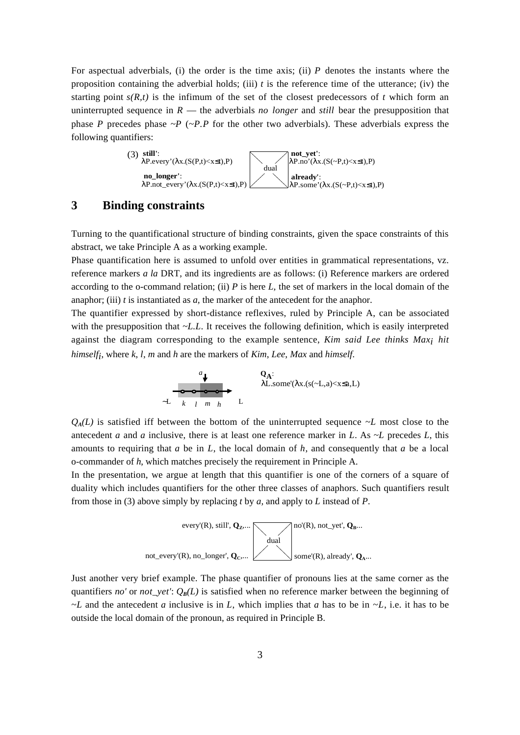For aspectual adverbials, (i) the order is the time axis; (ii) *P* denotes the instants where the proposition containing the adverbial holds; (iii)  $t$  is the reference time of the utterance; (iv) the starting point  $s(R,t)$  is the infimum of the set of the closest predecessors of *t* which form an uninterrupted sequence in  $R$  — the adverbials *no longer* and *still* bear the presupposition that phase *P* precedes phase  $\sim P$  ( $\sim P.P$  for the other two adverbials). These adverbials express the following quantifiers:



#### **3 Binding constraints**

Turning to the quantificational structure of binding constraints, given the space constraints of this abstract, we take Principle A as a working example.

Phase quantification here is assumed to unfold over entities in grammatical representations, vz. reference markers *a la* DRT, and its ingredients are as follows: (i) Reference markers are ordered according to the o-command relation; (ii)  $P$  is here  $L$ , the set of markers in the local domain of the anaphor; (iii) *t* is instantiated as *a,* the marker of the antecedent for the anaphor.

The quantifier expressed by short-distance reflexives, ruled by Principle A, can be associated with the presupposition that ~*L.L*. It receives the following definition, which is easily interpreted against the diagram corresponding to the example sentence, *Kim said Lee thinks Maxi hit himselfi*, where *k*, *l*, *m* and *h* are the markers of *Kim*, *Lee*, *Max* and *himself*.



 $Q_A(L)$  is satisfied iff between the bottom of the uninterrupted sequence  $\nu L$  most close to the antecedent *a* and *a* inclusive, there is at least one reference marker in *L*. As  $\sim L$  precedes *L*, this amounts to requiring that *a* be in *L*, the local domain of *h*, and consequently that *a* be a local o-commander of *h*, which matches precisely the requirement in Principle A.

In the presentation, we argue at length that this quantifier is one of the corners of a square of duality which includes quantifiers for the other three classes of anaphors. Such quantifiers result from those in (3) above simply by replacing *t* by *a,* and apply to *L* instead of *P*.



Just another very brief example. The phase quantifier of pronouns lies at the same corner as the quantifiers *no'* or *not\_yet'*:  $Q_B(L)$  is satisfied when no reference marker between the beginning of *~L* and the antecedent *a* inclusive is in *L*, which implies that *a* has to be in *~L*, i.e. it has to be outside the local domain of the pronoun, as required in Principle B.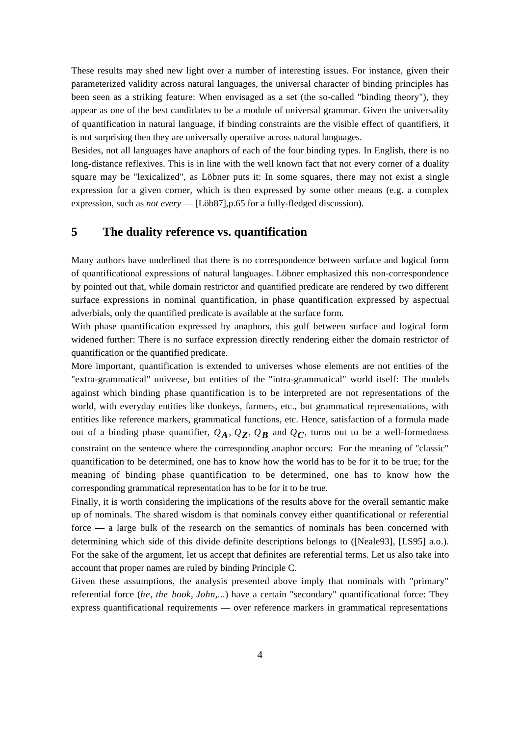These results may shed new light over a number of interesting issues. For instance, given their parameterized validity across natural languages, the universal character of binding principles has been seen as a striking feature: When envisaged as a set (the so-called "binding theory"), they appear as one of the best candidates to be a module of universal grammar. Given the universality of quantification in natural language, if binding constraints are the visible effect of quantifiers, it is not surprising then they are universally operative across natural languages.

Besides, not all languages have anaphors of each of the four binding types. In English, there is no long-distance reflexives. This is in line with the well known fact that not every corner of a duality square may be "lexicalized", as Löbner puts it: In some squares, there may not exist a single expression for a given corner, which is then expressed by some other means (e.g. a complex expression, such as *not every* — [Löb87],p.65 for a fully-fledged discussion).

# **5 The duality reference vs. quantification**

Many authors have underlined that there is no correspondence between surface and logical form of quantificational expressions of natural languages. Löbner emphasized this non-correspondence by pointed out that, while domain restrictor and quantified predicate are rendered by two different surface expressions in nominal quantification, in phase quantification expressed by aspectual adverbials, only the quantified predicate is available at the surface form.

With phase quantification expressed by anaphors, this gulf between surface and logical form widened further: There is no surface expression directly rendering either the domain restrictor of quantification or the quantified predicate.

More important, quantification is extended to universes whose elements are not entities of the "extra-grammatical" universe, but entities of the "intra-grammatical" world itself: The models against which binding phase quantification is to be interpreted are not representations of the world, with everyday entities like donkeys, farmers, etc., but grammatical representations, with entities like reference markers, grammatical functions, etc. Hence, satisfaction of a formula made out of a binding phase quantifier,  $Q_A$ ,  $Q_Z$ ,  $Q_B$  and  $Q_C$ , turns out to be a well-formedness constraint on the sentence where the corresponding anaphor occurs: For the meaning of "classic" quantification to be determined, one has to know how the world has to be for it to be true; for the meaning of binding phase quantification to be determined, one has to know how the corresponding grammatical representation has to be for it to be true.

Finally, it is worth considering the implications of the results above for the overall semantic make up of nominals. The shared wisdom is that nominals convey either quantificational or referential force — a large bulk of the research on the semantics of nominals has been concerned with determining which side of this divide definite descriptions belongs to ([Neale93], [LS95] a.o.). For the sake of the argument, let us accept that definites are referential terms. Let us also take into account that proper names are ruled by binding Principle C.

Given these assumptions, the analysis presented above imply that nominals with "primary" referential force (*he*, *the book*, *John*,...) have a certain "secondary" quantificational force: They express quantificational requirements — over reference markers in grammatical representations